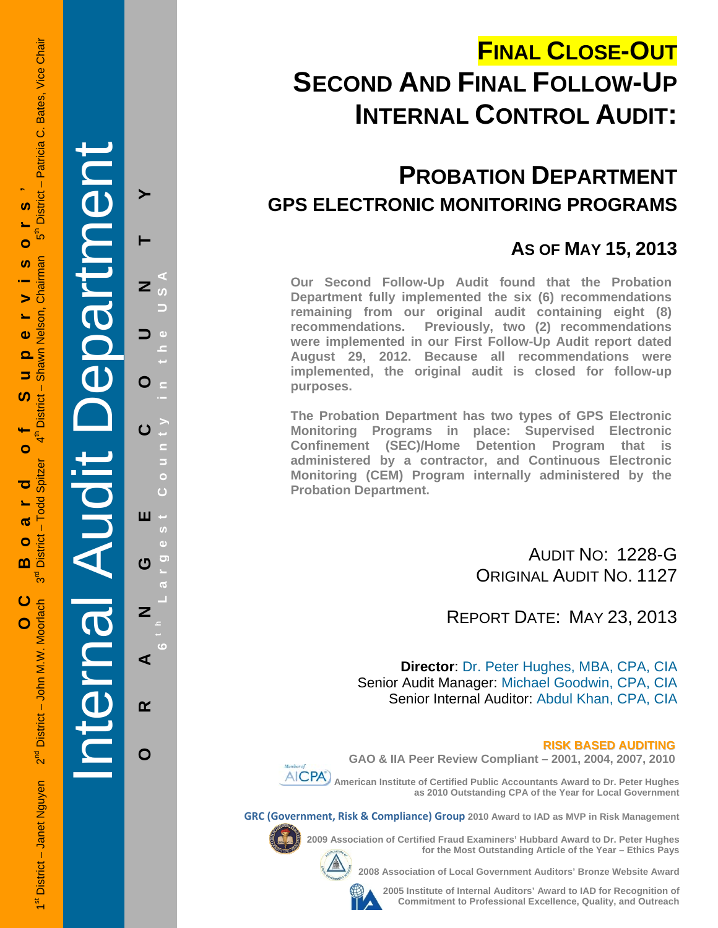# **FINAL CLOSE-OUT SECOND AND FINAL FOLLOW-UP INTERNAL CONTROL AUDIT:**

**PROBATION DEPARTMENT GPS ELECTRONIC MONITORING PROGRAMS**

### **AS OF MAY 15, 2013**

**Our Second Follow-Up Audit found that the Probation Department fully implemented the six (6) recommendations remaining from our original audit containing eight (8) recommendations. Previously, two (2) recommendations were implemented in our First Follow-Up Audit report dated August 29, 2012. Because all recommendations were implemented, the original audit is closed for follow-up purposes.** 

**The Probation Department has two types of GPS Electronic Monitoring Programs in place: Supervised Electronic Confinement (SEC)/Home Detention Program that is administered by a contractor, and Continuous Electronic Monitoring (CEM) Program internally administered by the Probation Department.** 

> AUDIT NO: 1228-G ORIGINAL AUDIT NO. 1127

REPORT DATE: MAY 23, 2013

**Director**: Dr. Peter Hughes, MBA, CPA, CIA Senior Audit Manager: Michael Goodwin, CPA, CIA Senior Internal Auditor: Abdul Khan, CPA, CIA

#### **RISK BASED AUDITING**

**GAO & IIA Peer Review Compliant – 2001, 2004, 2007, 2010** 

 **American Institute of Certified Public Accountants Award to Dr. Peter Hughes as 2010 Outstanding CPA of the Year for Local Government** 

**GRC (Government, Risk & Compliance) Group 2010 Award to IAD as MVP in Risk Management** 

**2009 Association of Certified Fraud Examiners' Hubbard Award to Dr. Peter Hughes** 



**2008 Association of Local Government Auditors' Bronze Website Award** 

**2005 Institute of Internal Auditors' Award to IAD for Recognition of Commitment to Professional Excellence, Quality, and Outreach**

**for the Most Outstanding Article of the Year – Ethics Pays** 

1st District – Janet Nguyen 2<sup>nd</sup> District – John M.W. Moorlach 3<sup>rd</sup> District – Todd Spitzer 4th District – Shawn Nelson, Chairman 5th District – Patricia C. Bates, Vice Chair District - Patricia C. Bates, Vice Chair **OC Board of Supervisors '**  U) =<br>ທີ Ó Chairman **S**  $\blacktriangleright$ Shawn Nelson,  $\ddot{\mathbf{v}}$ 5 ഗ **District**  $\mathbf{f}^{\text{th}}$ O **Todd Spitzer** ত  $\overline{\mathbf{c}}$ District - $\bullet$ m შ<br>თ ပ 2<sup>nd</sup> District - John M.W. Moorlach O 1<sup>st</sup> District - Janet Nguyen

Internal Audit Department **ORANGE COUNTY 6 t h Lar**  $\overline{z}$ O ш  $\boldsymbol{\sigma}$ Z ⋖  $\alpha$ 

**g est Count y in the USA** 

O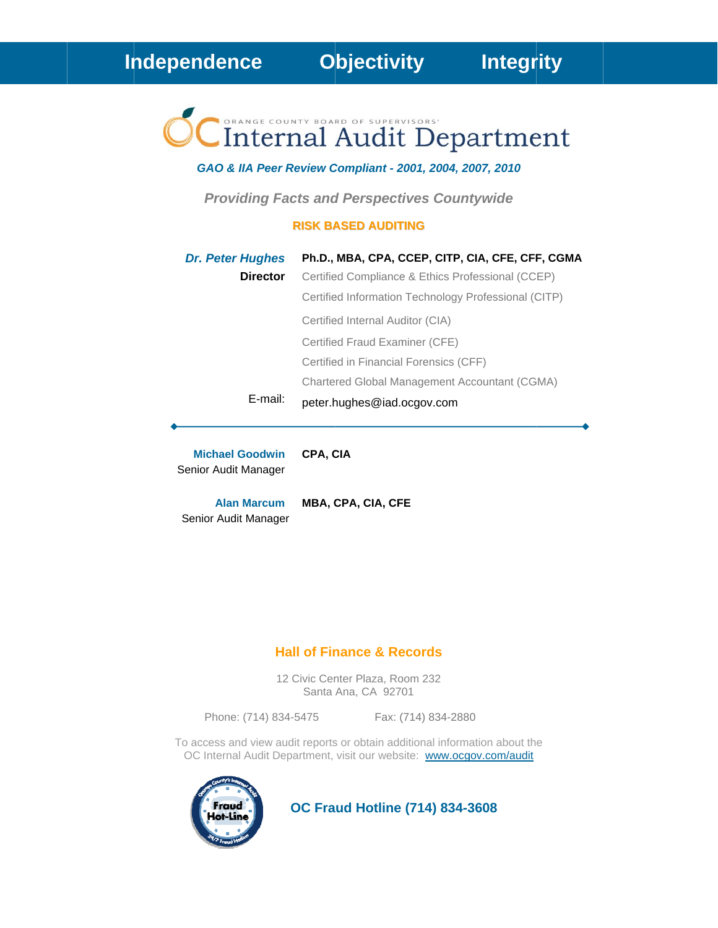# Internal Audit Department

#### GAO & IIA Peer Review Compliant - 2001, 2004, 2007, 2010

**Providing Facts and Perspectives Countywide** 

#### **RISK BASED AUDITING**

| <b>Dr. Peter Hughes</b> | Ph.D., MBA, CPA, CCEP, CITP, CIA, CFE, CFF, CGMA     |
|-------------------------|------------------------------------------------------|
| <b>Director</b>         | Certified Compliance & Ethics Professional (CCEP)    |
|                         | Certified Information Technology Professional (CITP) |
|                         | Certified Internal Auditor (CIA)                     |
|                         | Certified Fraud Examiner (CFE)                       |
|                         | Certified in Financial Forensics (CFF)               |
|                         | Chartered Global Management Accountant (CGMA)        |
| E-mail:                 | peter.hughes@iad.ocgov.com                           |

CPA, CIA **Michael Goodwin** Senior Audit Manager

MBA, CPA, CIA, CFE **Alan Marcum** Senior Audit Manager

#### **Hall of Finance & Records**

12 Civic Center Plaza, Room 232 Santa Ana, CA 92701

Phone: (714) 834-5475

Fax: (714) 834-2880

To access and view audit reports or obtain additional information about the OC Internal Audit Department, visit our website: www.ocgov.com/audit



**OC Fraud Hotline (714) 834-3608**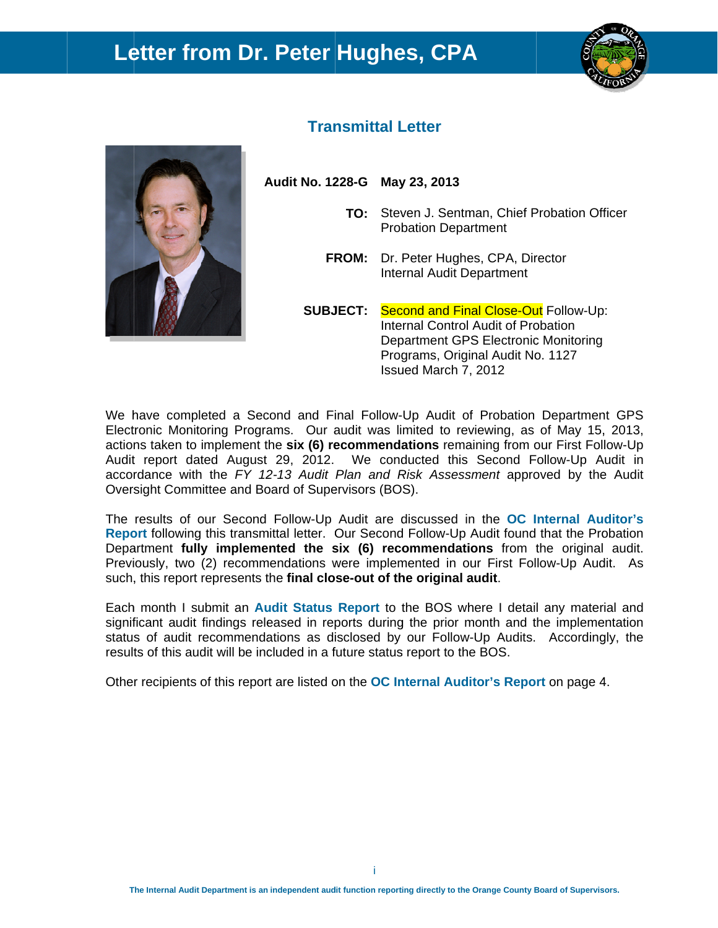## Letter from Dr. Peter Hughes, CPA





#### **Transmittal Letter**

Audit No. 1228-G May 23, 2013

- TO: Steven J. Sentman, Chief Probation Officer **Probation Department**
- FROM: Dr. Peter Hughes, CPA, Director **Internal Audit Department**

**SUBJECT: Second and Final Close-Out Follow-Up:** Internal Control Audit of Probation Department GPS Electronic Monitoring Programs, Original Audit No. 1127 Issued March 7, 2012

We have completed a Second and Final Follow-Up Audit of Probation Department GPS Electronic Monitoring Programs. Our audit was limited to reviewing, as of May 15, 2013, actions taken to implement the six (6) recommendations remaining from our First Follow-Up Audit report dated August 29, 2012. We conducted this Second Follow-Up Audit in accordance with the FY 12-13 Audit Plan and Risk Assessment approved by the Audit Oversight Committee and Board of Supervisors (BOS).

The results of our Second Follow-Up Audit are discussed in the OC Internal Auditor's Report following this transmittal letter. Our Second Follow-Up Audit found that the Probation Department fully implemented the six (6) recommendations from the original audit. Previously, two (2) recommendations were implemented in our First Follow-Up Audit. As such, this report represents the final close-out of the original audit.

Each month I submit an Audit Status Report to the BOS where I detail any material and significant audit findings released in reports during the prior month and the implementation status of audit recommendations as disclosed by our Follow-Up Audits. Accordingly, the results of this audit will be included in a future status report to the BOS.

Other recipients of this report are listed on the **OC** Internal Auditor's Report on page 4.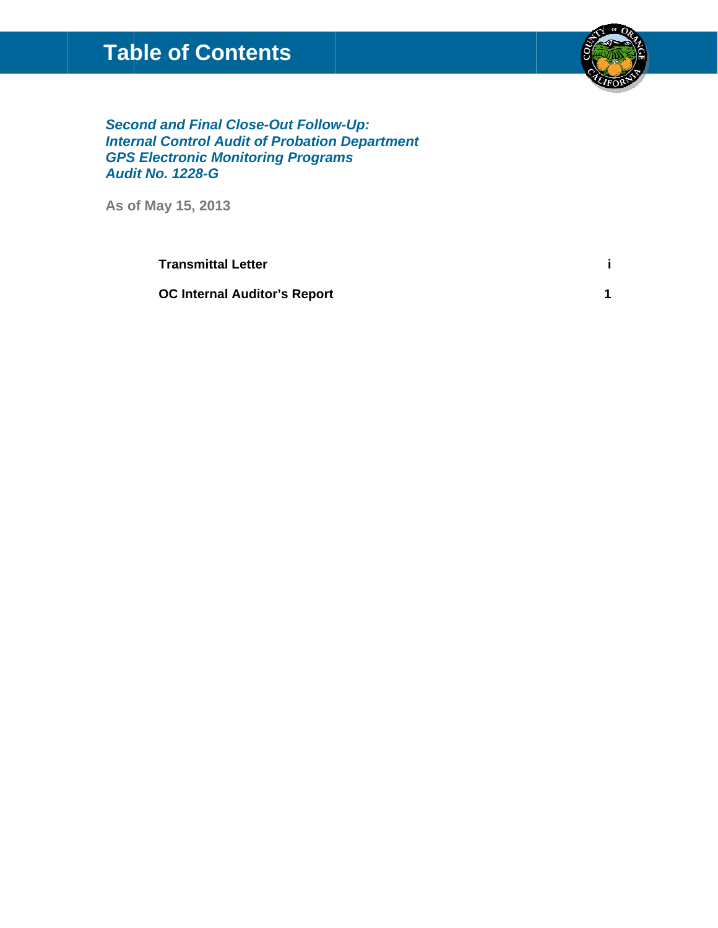## **Table of Contents**



**Second and Final Close-Out Follow-Up: Internal Control Audit of Probation Department GPS Electronic Monitoring Programs Audit No. 1228-G** 

As of May 15, 2013

**Transmittal Letter** 

**OC Internal Auditor's Report**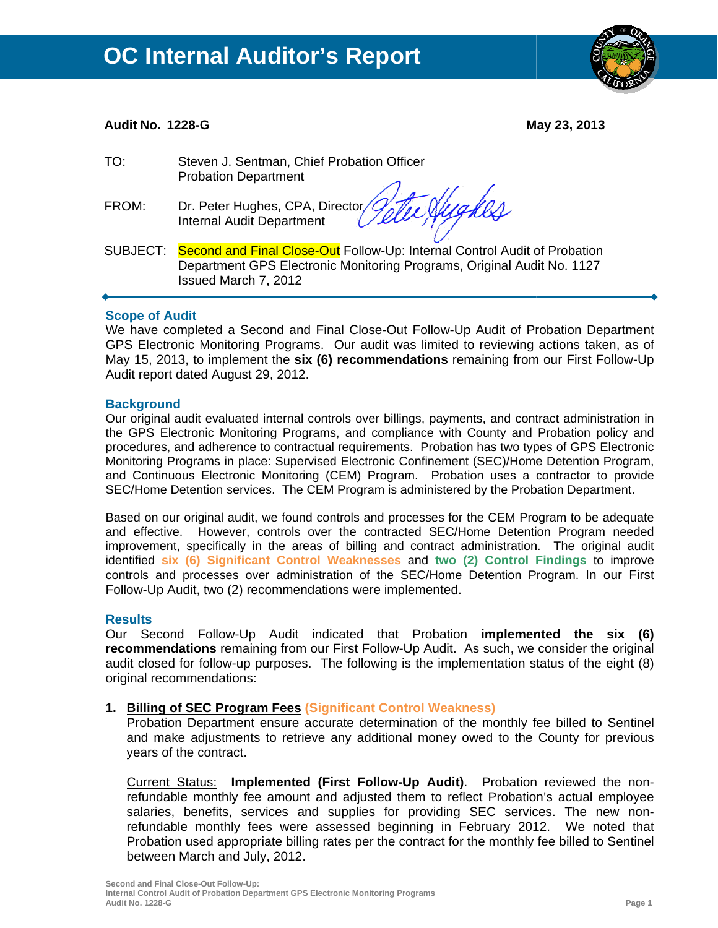

#### **Audit No. 1228-G**

May 23, 2013

- TO: Steven J. Sentman, Chief Probation Officer **Probation Department**
- FROM: Dr. Peter Hughes, CPA, Director **Internal Audit Department**

refligker

SUBJECT: Second and Final Close-Out Follow-Up: Internal Control Audit of Probation Department GPS Electronic Monitoring Programs, Original Audit No. 1127 Issued March 7, 2012

#### **Scope of Audit**

We have completed a Second and Final Close-Out Follow-Up Audit of Probation Department GPS Electronic Monitoring Programs. Our audit was limited to reviewing actions taken, as of May 15, 2013, to implement the six (6) recommendations remaining from our First Follow-Up Audit report dated August 29, 2012.

#### **Background**

Our original audit evaluated internal controls over billings, payments, and contract administration in the GPS Electronic Monitoring Programs, and compliance with County and Probation policy and procedures, and adherence to contractual requirements. Probation has two types of GPS Electronic Monitoring Programs in place: Supervised Electronic Confinement (SEC)/Home Detention Program, and Continuous Electronic Monitoring (CEM) Program. Probation uses a contractor to provide SEC/Home Detention services. The CEM Program is administered by the Probation Department.

Based on our original audit, we found controls and processes for the CEM Program to be adequate and effective. However, controls over the contracted SEC/Home Detention Program needed improvement, specifically in the areas of billing and contract administration. The original audit identified six (6) Significant Control Weaknesses and two (2) Control Findings to improve controls and processes over administration of the SEC/Home Detention Program. In our First Follow-Up Audit, two (2) recommendations were implemented.

#### **Results**

Our Second Follow-Up Audit indicated that Probation **implemented the six (6)** recommendations remaining from our First Follow-Up Audit. As such, we consider the original audit closed for follow-up purposes. The following is the implementation status of the eight (8) original recommendations:

#### 1. Billing of SEC Program Fees (Significant Control Weakness)

Probation Department ensure accurate determination of the monthly fee billed to Sentinel and make adjustments to retrieve any additional money owed to the County for previous years of the contract.

Current Status: Implemented (First Follow-Up Audit). Probation reviewed the nonrefundable monthly fee amount and adjusted them to reflect Probation's actual employee salaries, benefits, services and supplies for providing SEC services. The new nonrefundable monthly fees were assessed beginning in February 2012. We noted that Probation used appropriate billing rates per the contract for the monthly fee billed to Sentinel between March and July, 2012.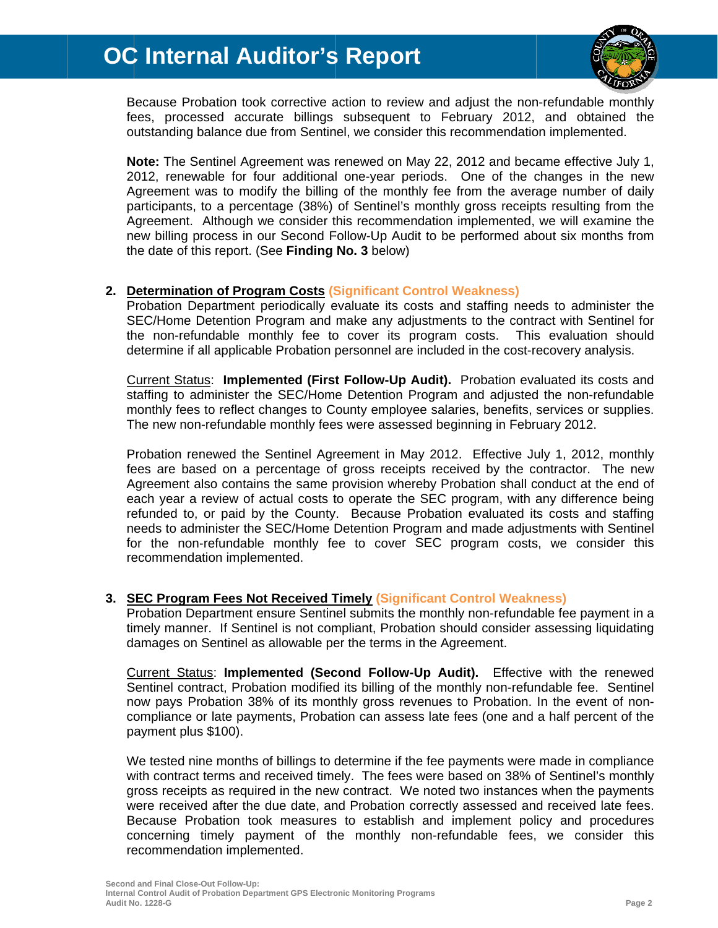

Because Probation took corrective action to review and adjust the non-refundable monthly fees, processed accurate billings subsequent to February 2012, and obtained the outstanding balance due from Sentinel, we consider this recommendation implemented.

Note: The Sentinel Agreement was renewed on May 22, 2012 and became effective July 1, 2012, renewable for four additional one-year periods. One of the changes in the new Agreement was to modify the billing of the monthly fee from the average number of daily participants, to a percentage (38%) of Sentinel's monthly gross receipts resulting from the Agreement. Although we consider this recommendation implemented, we will examine the new billing process in our Second Follow-Up Audit to be performed about six months from the date of this report. (See Finding No. 3 below)

#### 2. Determination of Program Costs (Significant Control Weakness)

Probation Department periodically evaluate its costs and staffing needs to administer the SEC/Home Detention Program and make any adjustments to the contract with Sentinel for the non-refundable monthly fee to cover its program costs. This evaluation should determine if all applicable Probation personnel are included in the cost-recovery analysis.

Current Status: Implemented (First Follow-Up Audit). Probation evaluated its costs and staffing to administer the SEC/Home Detention Program and adjusted the non-refundable monthly fees to reflect changes to County employee salaries, benefits, services or supplies. The new non-refundable monthly fees were assessed beginning in February 2012.

Probation renewed the Sentinel Agreement in May 2012. Effective July 1, 2012, monthly fees are based on a percentage of gross receipts received by the contractor. The new Agreement also contains the same provision whereby Probation shall conduct at the end of each year a review of actual costs to operate the SEC program, with any difference being refunded to, or paid by the County. Because Probation evaluated its costs and staffing needs to administer the SEC/Home Detention Program and made adjustments with Sentinel for the non-refundable monthly fee to cover SEC program costs, we consider this recommendation implemented.

#### 3. SEC Program Fees Not Received Timely (Significant Control Weakness)

Probation Department ensure Sentinel submits the monthly non-refundable fee payment in a timely manner. If Sentinel is not compliant, Probation should consider assessing liquidating damages on Sentinel as allowable per the terms in the Agreement.

Current Status: Implemented (Second Follow-Up Audit). Effective with the renewed Sentinel contract, Probation modified its billing of the monthly non-refundable fee. Sentinel now pays Probation 38% of its monthly gross revenues to Probation. In the event of noncompliance or late payments. Probation can assess late fees (one and a half percent of the payment plus \$100).

We tested nine months of billings to determine if the fee payments were made in compliance with contract terms and received timely. The fees were based on 38% of Sentinel's monthly gross receipts as required in the new contract. We noted two instances when the payments were received after the due date, and Probation correctly assessed and received late fees. Because Probation took measures to establish and implement policy and procedures concerning timely payment of the monthly non-refundable fees, we consider this recommendation implemented.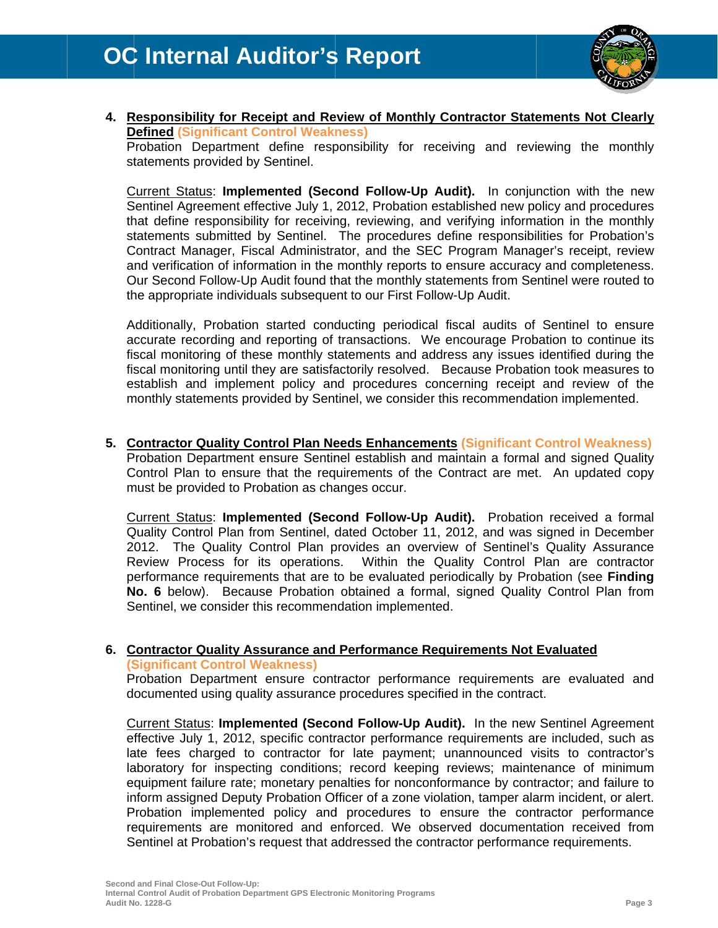

#### 4. Responsibility for Receipt and Review of Monthly Contractor Statements Not Clearly **Defined (Significant Control Weakness)**

Probation Department define responsibility for receiving and reviewing the monthly statements provided by Sentinel.

Current Status: Implemented (Second Follow-Up Audit). In conjunction with the new Sentinel Agreement effective July 1, 2012, Probation established new policy and procedures that define responsibility for receiving, reviewing, and verifying information in the monthly statements submitted by Sentinel. The procedures define responsibilities for Probation's Contract Manager, Fiscal Administrator, and the SEC Program Manager's receipt, review and verification of information in the monthly reports to ensure accuracy and completeness. Our Second Follow-Up Audit found that the monthly statements from Sentinel were routed to the appropriate individuals subsequent to our First Follow-Up Audit.

Additionally, Probation started conducting periodical fiscal audits of Sentinel to ensure accurate recording and reporting of transactions. We encourage Probation to continue its fiscal monitoring of these monthly statements and address any issues identified during the fiscal monitoring until they are satisfactorily resolved. Because Probation took measures to establish and implement policy and procedures concerning receipt and review of the monthly statements provided by Sentinel, we consider this recommendation implemented.

5. Contractor Quality Control Plan Needs Enhancements (Significant Control Weakness) Probation Department ensure Sentinel establish and maintain a formal and signed Quality Control Plan to ensure that the requirements of the Contract are met. An updated copy must be provided to Probation as changes occur.

Current Status: Implemented (Second Follow-Up Audit). Probation received a formal Quality Control Plan from Sentinel, dated October 11, 2012, and was signed in December 2012. The Quality Control Plan provides an overview of Sentinel's Quality Assurance Review Process for its operations. Within the Quality Control Plan are contractor performance requirements that are to be evaluated periodically by Probation (see Finding No. 6 below). Because Probation obtained a formal, signed Quality Control Plan from Sentinel, we consider this recommendation implemented.

#### 6. Contractor Quality Assurance and Performance Requirements Not Evaluated **(Significant Control Weakness)**

Probation Department ensure contractor performance requirements are evaluated and documented using quality assurance procedures specified in the contract.

Current Status: Implemented (Second Follow-Up Audit). In the new Sentinel Agreement effective July 1, 2012, specific contractor performance requirements are included, such as late fees charged to contractor for late payment; unannounced visits to contractor's laboratory for inspecting conditions; record keeping reviews; maintenance of minimum equipment failure rate; monetary penalties for nonconformance by contractor; and failure to inform assigned Deputy Probation Officer of a zone violation, tamper alarm incident, or alert. Probation implemented policy and procedures to ensure the contractor performance requirements are monitored and enforced. We observed documentation received from Sentinel at Probation's request that addressed the contractor performance requirements.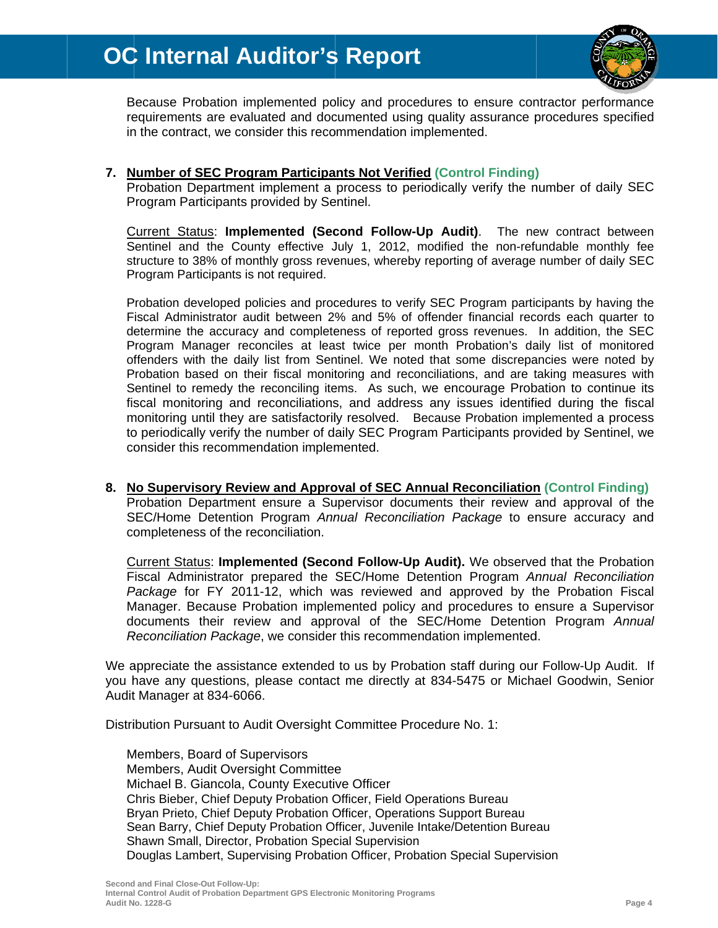## **OC Internal Auditor's Report**



Because Probation implemented policy and procedures to ensure contractor performance requirements are evaluated and documented using quality assurance procedures specified in the contract, we consider this recommendation implemented.

#### 7. Number of SEC Program Participants Not Verified (Control Finding)

Probation Department implement a process to periodically verify the number of daily SEC Program Participants provided by Sentinel.

Current Status: Implemented (Second Follow-Up Audit). The new contract between Sentinel and the County effective July 1, 2012, modified the non-refundable monthly fee structure to 38% of monthly gross revenues, whereby reporting of average number of daily SEC Program Participants is not required.

Probation developed policies and procedures to verify SEC Program participants by having the Fiscal Administrator audit between 2% and 5% of offender financial records each quarter to determine the accuracy and completeness of reported gross revenues. In addition, the SEC Program Manager reconciles at least twice per month Probation's daily list of monitored offenders with the daily list from Sentinel. We noted that some discrepancies were noted by Probation based on their fiscal monitoring and reconciliations, and are taking measures with Sentinel to remedy the reconciling items. As such, we encourage Probation to continue its fiscal monitoring and reconciliations, and address any issues identified during the fiscal monitoring until they are satisfactorily resolved. Because Probation implemented a process to periodically verify the number of daily SEC Program Participants provided by Sentinel, we consider this recommendation implemented.

#### 8. No Supervisory Review and Approval of SEC Annual Reconciliation (Control Finding) Probation Department ensure a Supervisor documents their review and approval of the SEC/Home Detention Program Annual Reconciliation Package to ensure accuracy and completeness of the reconciliation.

Current Status: Implemented (Second Follow-Up Audit). We observed that the Probation Fiscal Administrator prepared the SEC/Home Detention Program Annual Reconciliation Package for FY 2011-12, which was reviewed and approved by the Probation Fiscal Manager. Because Probation implemented policy and procedures to ensure a Supervisor documents their review and approval of the SEC/Home Detention Program Annual Reconciliation Package, we consider this recommendation implemented.

We appreciate the assistance extended to us by Probation staff during our Follow-Up Audit. If you have any questions, please contact me directly at 834-5475 or Michael Goodwin, Senior Audit Manager at 834-6066.

Distribution Pursuant to Audit Oversight Committee Procedure No. 1:

Members, Board of Supervisors Members, Audit Oversight Committee Michael B. Giancola, County Executive Officer Chris Bieber, Chief Deputy Probation Officer, Field Operations Bureau Bryan Prieto, Chief Deputy Probation Officer, Operations Support Bureau Sean Barry, Chief Deputy Probation Officer, Juvenile Intake/Detention Bureau Shawn Small, Director, Probation Special Supervision Douglas Lambert, Supervising Probation Officer, Probation Special Supervision